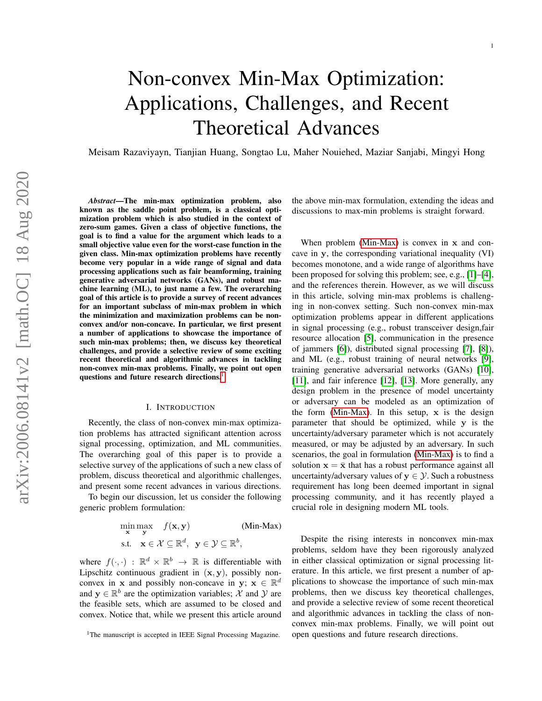# Non-convex Min-Max Optimization: Applications, Challenges, and Recent Theoretical Advances

Meisam Razaviyayn, Tianjian Huang, Songtao Lu, Maher Nouiehed, Maziar Sanjabi, Mingyi Hong

*Abstract*—The min-max optimization problem, also known as the saddle point problem, is a classical optimization problem which is also studied in the context of zero-sum games. Given a class of objective functions, the goal is to find a value for the argument which leads to a small objective value even for the worst-case function in the given class. Min-max optimization problems have recently become very popular in a wide range of signal and data processing applications such as fair beamforming, training generative adversarial networks (GANs), and robust machine learning (ML), to just name a few. The overarching goal of this article is to provide a survey of recent advances for an important subclass of min-max problem in which the minimization and maximization problems can be nonconvex and/or non-concave. In particular, we first present a number of applications to showcase the importance of such min-max problems; then, we discuss key theoretical challenges, and provide a selective review of some exciting recent theoretical and algorithmic advances in tackling non-convex min-max problems. Finally, we point out open questions and future research directions.

#### I. INTRODUCTION

Recently, the class of non-convex min-max optimization problems has attracted significant attention across signal processing, optimization, and ML communities. The overarching goal of this paper is to provide a selective survey of the applications of such a new class of problem, discuss theoretical and algorithmic challenges, and present some recent advances in various directions.

To begin our discussion, let us consider the following generic problem formulation:

$$
\min_{\mathbf{x}} \max_{\mathbf{y}} f(\mathbf{x}, \mathbf{y})
$$
 (Min-Max)  
s.t.  $\mathbf{x} \in \mathcal{X} \subseteq \mathbb{R}^d$ ,  $\mathbf{y} \in \mathcal{Y} \subseteq \mathbb{R}^b$ ,

where  $f(\cdot, \cdot)$  :  $\mathbb{R}^d \times \mathbb{R}^b \to \mathbb{R}$  is differentiable with Lipschitz continuous gradient in  $(x, y)$ , possibly nonconvex in **x** and possibly non-concave in **y**;  $\mathbf{x} \in \mathbb{R}^d$ and  $y \in \mathbb{R}^b$  are the optimization variables; X and Y are the feasible sets, which are assumed to be closed and convex. Notice that, while we present this article around the above min-max formulation, extending the ideas and discussions to max-min problems is straight forward.

When problem [\(Min-Max\)](#page-0-1) is convex in x and concave in y, the corresponding variational inequality (VI) becomes monotone, and a wide range of algorithms have been proposed for solving this problem; see, e.g., [\[1\]](#page-9-0)–[\[4\]](#page-10-0), and the references therein. However, as we will discuss in this article, solving min-max problems is challenging in non-convex setting. Such non-convex min-max optimization problems appear in different applications in signal processing (e.g., robust transceiver design,fair resource allocation [\[5\]](#page-10-1), communication in the presence of jammers [\[6\]](#page-10-2)), distributed signal processing [\[7\]](#page-10-3), [\[8\]](#page-10-4)), and ML (e.g., robust training of neural networks [\[9\]](#page-10-5), training generative adversarial networks (GANs) [\[10\]](#page-10-6), [\[11\]](#page-10-7), and fair inference [\[12\]](#page-10-8), [\[13\]](#page-10-9). More generally, any design problem in the presence of model uncertainty or adversary can be modeled as an optimization of the form [\(Min-Max\)](#page-0-1). In this setup,  $x$  is the design parameter that should be optimized, while y is the uncertainty/adversary parameter which is not accurately measured, or may be adjusted by an adversary. In such scenarios, the goal in formulation [\(Min-Max\)](#page-0-1) is to find a solution  $x = \bar{x}$  that has a robust performance against all uncertainty/adversary values of  $y \in \mathcal{Y}$ . Such a robustness requirement has long been deemed important in signal processing community, and it has recently played a crucial role in designing modern ML tools.

<span id="page-0-1"></span>Despite the rising interests in nonconvex min-max problems, seldom have they been rigorously analyzed in either classical optimization or signal processing literature. In this article, we first present a number of applications to showcase the importance of such min-max problems, then we discuss key theoretical challenges, and provide a selective review of some recent theoretical and algorithmic advances in tackling the class of nonconvex min-max problems. Finally, we will point out open questions and future research directions.

<span id="page-0-0"></span><sup>&</sup>lt;sup>1</sup>The manuscript is accepted in IEEE Signal Processing Magazine.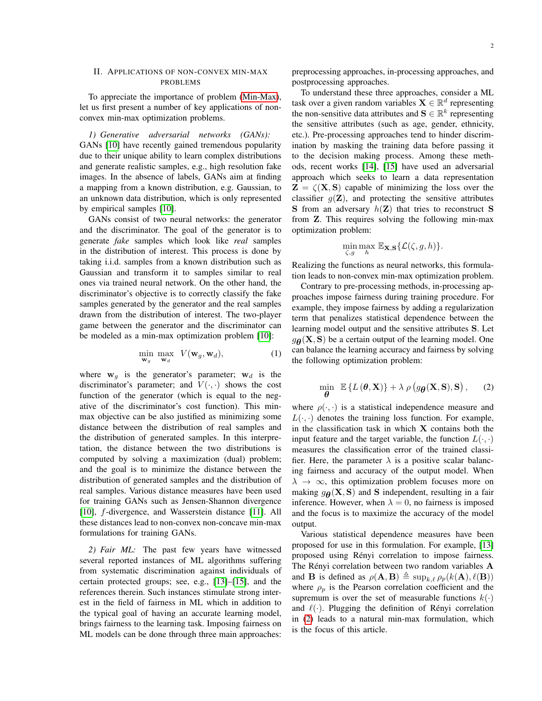# <span id="page-1-1"></span>II. APPLICATIONS OF NON-CONVEX MIN-MAX PROBLEMS

To appreciate the importance of problem [\(Min-Max\)](#page-0-1), let us first present a number of key applications of nonconvex min-max optimization problems.

*1) Generative adversarial networks (GANs):* GANs [\[10\]](#page-10-6) have recently gained tremendous popularity due to their unique ability to learn complex distributions and generate realistic samples, e.g., high resolution fake images. In the absence of labels, GANs aim at finding a mapping from a known distribution, e.g. Gaussian, to an unknown data distribution, which is only represented by empirical samples [\[10\]](#page-10-6).

GANs consist of two neural networks: the generator and the discriminator. The goal of the generator is to generate *fake* samples which look like *real* samples in the distribution of interest. This process is done by taking i.i.d. samples from a known distribution such as Gaussian and transform it to samples similar to real ones via trained neural network. On the other hand, the discriminator's objective is to correctly classify the fake samples generated by the generator and the real samples drawn from the distribution of interest. The two-player game between the generator and the discriminator can be modeled as a min-max optimization problem [\[10\]](#page-10-6):

$$
\min_{\mathbf{w}_g} \max_{\mathbf{w}_d} V(\mathbf{w}_g, \mathbf{w}_d), \tag{1}
$$

where  $w_g$  is the generator's parameter;  $w_d$  is the discriminator's parameter; and  $V(\cdot, \cdot)$  shows the cost function of the generator (which is equal to the negative of the discriminator's cost function). This minmax objective can be also justified as minimizing some distance between the distribution of real samples and the distribution of generated samples. In this interpretation, the distance between the two distributions is computed by solving a maximization (dual) problem; and the goal is to minimize the distance between the distribution of generated samples and the distribution of real samples. Various distance measures have been used for training GANs such as Jensen-Shannon divergence [\[10\]](#page-10-6), f-divergence, and Wasserstein distance [\[11\]](#page-10-7). All these distances lead to non-convex non-concave min-max formulations for training GANs.

*2) Fair ML:* The past few years have witnessed several reported instances of ML algorithms suffering from systematic discrimination against individuals of certain protected groups; see, e.g., [\[13\]](#page-10-9)–[\[15\]](#page-10-10), and the references therein. Such instances stimulate strong interest in the field of fairness in ML which in addition to the typical goal of having an accurate learning model, brings fairness to the learning task. Imposing fairness on ML models can be done through three main approaches:

preprocessing approaches, in-processing approaches, and postprocessing approaches.

To understand these three approaches, consider a ML task over a given random variables  $X \in \mathbb{R}^d$  representing the non-sensitive data attributes and  $\mathbf{S} \in \mathbb{R}^k$  representing the sensitive attributes (such as age, gender, ethnicity, etc.). Pre-processing approaches tend to hinder discrimination by masking the training data before passing it to the decision making process. Among these methods, recent works [\[14\]](#page-10-11), [\[15\]](#page-10-10) have used an adversarial approach which seeks to learn a data representation  $\mathbf{Z} = \zeta(\mathbf{X}, \mathbf{S})$  capable of minimizing the loss over the classifier  $q(\mathbf{Z})$ , and protecting the sensitive attributes S from an adversary  $h(\mathbf{Z})$  that tries to reconstruct S from Z. This requires solving the following min-max optimization problem:

$$
\min_{\zeta,g}\max_h\mathbb{E}_{\mathbf{X},\mathbf{S}}\{\mathcal{L}(\zeta,g,h)\}.
$$

Realizing the functions as neural networks, this formulation leads to non-convex min-max optimization problem.

Contrary to pre-processing methods, in-processing approaches impose fairness during training procedure. For example, they impose fairness by adding a regularization term that penalizes statistical dependence between the learning model output and the sensitive attributes S. Let  $g_{\theta}(\mathbf{X}, \mathbf{S})$  be a certain output of the learning model. One can balance the learning accuracy and fairness by solving the following optimization problem:

<span id="page-1-0"></span>
$$
\min_{\boldsymbol{\theta}} \ \mathbb{E} \left\{ L(\boldsymbol{\theta}, \mathbf{X}) \right\} + \lambda \ \rho \left( g_{\boldsymbol{\theta}}(\mathbf{X}, \mathbf{S}), \mathbf{S} \right), \qquad (2)
$$

where  $\rho(\cdot, \cdot)$  is a statistical independence measure and  $L(\cdot, \cdot)$  denotes the training loss function. For example, in the classification task in which  $X$  contains both the input feature and the target variable, the function  $L(\cdot, \cdot)$ measures the classification error of the trained classifier. Here, the parameter  $\lambda$  is a positive scalar balancing fairness and accuracy of the output model. When  $\lambda \to \infty$ , this optimization problem focuses more on making  $g_{\theta}(\mathbf{X}, \mathbf{S})$  and  $\mathbf{S}$  independent, resulting in a fair inference. However, when  $\lambda = 0$ , no fairness is imposed and the focus is to maximize the accuracy of the model output.

Various statistical dependence measures have been proposed for use in this formulation. For example, [\[13\]](#page-10-9) proposed using Rényi correlation to impose fairness. The Rényi correlation between two random variables  $A$ and **B** is defined as  $\rho(\mathbf{A}, \mathbf{B}) \triangleq \sup_{k \in \mathcal{P}} \rho_p(k(\mathbf{A}), \ell(\mathbf{B}))$ where  $\rho_p$  is the Pearson correlation coefficient and the supremum is over the set of measurable functions  $k(\cdot)$ and  $\ell(\cdot)$ . Plugging the definition of Rényi correlation in [\(2\)](#page-1-0) leads to a natural min-max formulation, which is the focus of this article.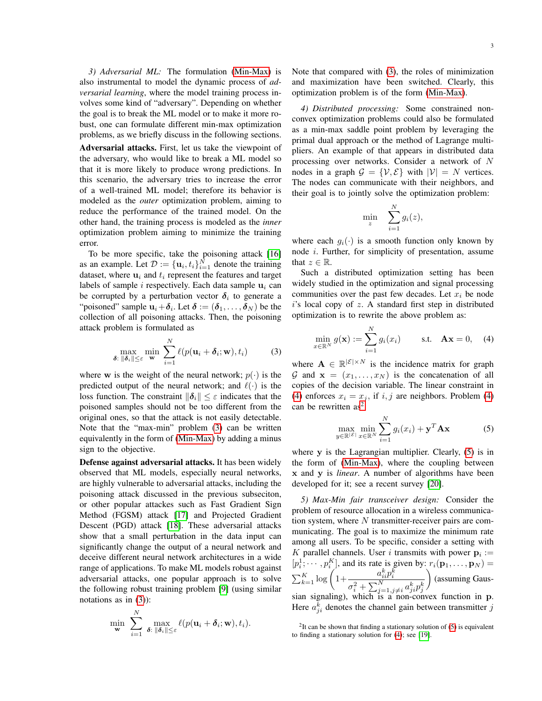*3) Adversarial ML:* The formulation [\(Min-Max\)](#page-0-1) is also instrumental to model the dynamic process of *adversarial learning*, where the model training process involves some kind of "adversary". Depending on whether the goal is to break the ML model or to make it more robust, one can formulate different min-max optimization problems, as we briefly discuss in the following sections.

Adversarial attacks. First, let us take the viewpoint of the adversary, who would like to break a ML model so that it is more likely to produce wrong predictions. In this scenario, the adversary tries to increase the error of a well-trained ML model; therefore its behavior is modeled as the *outer* optimization problem, aiming to reduce the performance of the trained model. On the other hand, the training process is modeled as the *inner* optimization problem aiming to minimize the training error.

To be more specific, take the poisoning attack [\[16\]](#page-10-12) as an example. Let  $\mathcal{D} := {\mathbf{u}_i, t_i}_{i=1}^N$  denote the training dataset, where  $\mathbf{u}_i$  and  $t_i$  represent the features and target labels of sample i respectively. Each data sample  $\mathbf{u}_i$  can be corrupted by a perturbation vector  $\delta_i$  to generate a "poisoned" sample  $\mathbf{u}_i + \boldsymbol{\delta}_i$ . Let  $\boldsymbol{\delta} := (\boldsymbol{\delta}_1, \dots, \boldsymbol{\delta}_N)$  be the collection of all poisoning attacks. Then, the poisoning attack problem is formulated as

$$
\max_{\boldsymbol{\delta}: \ \|\boldsymbol{\delta}_i\| \leq \varepsilon} \min_{\mathbf{w}} \ \sum_{i=1}^N \ell(p(\mathbf{u}_i + \boldsymbol{\delta}_i; \mathbf{w}), t_i)
$$
 (3)

where w is the weight of the neural network;  $p(\cdot)$  is the predicted output of the neural network; and  $\ell(\cdot)$  is the loss function. The constraint  $\|\boldsymbol{\delta}_i\| \leq \varepsilon$  indicates that the poisoned samples should not be too different from the original ones, so that the attack is not easily detectable. Note that the "max-min" problem [\(3\)](#page-2-0) can be written equivalently in the form of [\(Min-Max\)](#page-0-1) by adding a minus sign to the objective.

Defense against adversarial attacks. It has been widely observed that ML models, especially neural networks, are highly vulnerable to adversarial attacks, including the poisoning attack discussed in the previous subseciton, or other popular attackes such as Fast Gradient Sign Method (FGSM) attack [\[17\]](#page-10-13) and Projected Gradient Descent (PGD) attack [\[18\]](#page-10-14). These adversarial attacks show that a small perturbation in the data input can significantly change the output of a neural network and deceive different neural network architectures in a wide range of applications. To make ML models robust against adversarial attacks, one popular approach is to solve the following robust training problem [\[9\]](#page-10-5) (using similar notations as in  $(3)$ :

$$
\min_{\mathbf{w}} \sum_{i=1}^N \max_{\boldsymbol{\delta}: \|\boldsymbol{\delta}_i\| \leq \varepsilon} \ell(p(\mathbf{u}_i + \boldsymbol{\delta}_i; \mathbf{w}), t_i).
$$

Note that compared with [\(3\)](#page-2-0), the roles of minimization and maximization have been switched. Clearly, this optimization problem is of the form [\(Min-Max\)](#page-0-1).

*4) Distributed processing:* Some constrained nonconvex optimization problems could also be formulated as a min-max saddle point problem by leveraging the primal dual approach or the method of Lagrange multipliers. An example of that appears in distributed data processing over networks. Consider a network of N nodes in a graph  $\mathcal{G} = \{V, \mathcal{E}\}\$  with  $|V| = N$  vertices. The nodes can communicate with their neighbors, and their goal is to jointly solve the optimization problem:

$$
\min_{z} \quad \sum_{i=1}^{N} g_i(z),
$$

where each  $q_i(\cdot)$  is a smooth function only known by node i. Further, for simplicity of presentation, assume that  $z \in \mathbb{R}$ .

Such a distributed optimization setting has been widely studied in the optimization and signal processing communities over the past few decades. Let  $x_i$  be node  $i$ 's local copy of  $z$ . A standard first step in distributed optimization is to rewrite the above problem as:

<span id="page-2-1"></span>
$$
\min_{x \in \mathbb{R}^N} g(\mathbf{x}) := \sum_{i=1}^N g_i(x_i) \quad \text{s.t.} \quad \mathbf{A}\mathbf{x} = 0,\quad (4)
$$

<span id="page-2-0"></span>where  $\mathbf{A} \in \mathbb{R}^{|\mathcal{E}| \times N}$  is the incidence matrix for graph G and  $\mathbf{x} = (x_1, \dots, x_N)$  is the concatenation of all copies of the decision variable. The linear constraint in [\(4\)](#page-2-1) enforces  $x_i = x_j$ , if  $i, j$  are neighbors. Problem (4) can be rewritten  $as<sup>2</sup>$  $as<sup>2</sup>$  $as<sup>2</sup>$ 

<span id="page-2-3"></span>
$$
\max_{y \in \mathbb{R}^{|E|}} \min_{x \in \mathbb{R}^N} \sum_{i=1}^N g_i(x_i) + \mathbf{y}^T \mathbf{A} \mathbf{x}
$$
 (5)

where y is the Lagrangian multiplier. Clearly, [\(5\)](#page-2-3) is in the form of [\(Min-Max\)](#page-0-1), where the coupling between x and y is *linear*. A number of algorithms have been developed for it; see a recent survey [\[20\]](#page-10-15).

*5) Max-Min fair transceiver design:* Consider the problem of resource allocation in a wireless communication system, where  $N$  transmitter-receiver pairs are communicating. The goal is to maximize the minimum rate among all users. To be specific, consider a setting with K parallel channels. User i transmits with power  $\mathbf{p}_i :=$  $[p_i^1; \dots, p_i^K]$ , and its rate is given by:  $r_i(\mathbf{p}_1, \dots, \mathbf{p}_N)$  =  $\sum_{k=1}^K \log \left( 1 + \frac{a_{ii}^k p_i^k}{2 + \sum_{i=1}^N} \right)$  $\sigma_i^2 + \sum_{j=1,j\neq i}^N a_{ji}^k p_j^k$ (assuming Gaus-

sian signaling), which is a non-convex function in p. Here  $a_{ji}^k$  denotes the channel gain between transmitter j

<span id="page-2-2"></span> $2$ It can be shown that finding a stationary solution of [\(5\)](#page-2-3) is equivalent to finding a stationary solution for [\(4\)](#page-2-1); see [\[19\]](#page-10-16).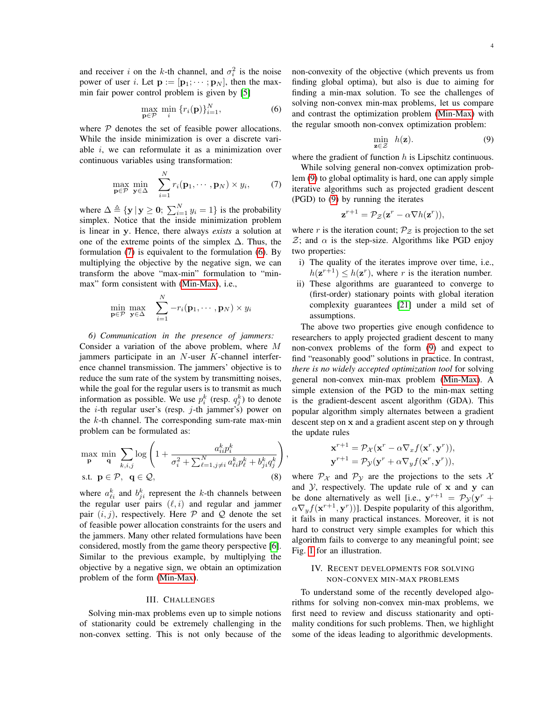and receiver i on the k-th channel, and  $\sigma_i^2$  is the noise power of user *i*. Let  $\mathbf{p} := [\mathbf{p}_1; \cdots; \mathbf{p}_N]$ , then the maxmin fair power control problem is given by [\[5\]](#page-10-1)

<span id="page-3-1"></span>
$$
\max_{\mathbf{p}\in\mathcal{P}}\ \min_{i}\left\{r_{i}(\mathbf{p})\right\}_{i=1}^{N},\tag{6}
$$

where  $P$  denotes the set of feasible power allocations. While the inside minimization is over a discrete variable i, we can reformulate it as a minimization over continuous variables using transformation:

<span id="page-3-0"></span>
$$
\max_{\mathbf{p}\in\mathcal{P}}\min_{\mathbf{y}\in\Delta}\quad\sum_{i=1}^N r_i(\mathbf{p}_1,\cdots,\mathbf{p}_N)\times y_i,\qquad(7)
$$

where  $\Delta \triangleq {\mathbf{y} \,|\, \mathbf{y} \geq \mathbf{0};\, \sum_{i=1}^{N} y_i = 1}$  is the probability simplex. Notice that the inside minimization problem is linear in y. Hence, there always *exists* a solution at one of the extreme points of the simplex  $\Delta$ . Thus, the formulation [\(7\)](#page-3-0) is equivalent to the formulation [\(6\)](#page-3-1). By multiplying the objective by the negative sign, we can transform the above "max-min" formulation to "minmax" form consistent with [\(Min-Max\)](#page-0-1), i.e.,

<span id="page-3-3"></span>
$$
\min_{\mathbf{p}\in\mathcal{P}}\max_{\mathbf{y}\in\Delta}\quad\sum_{i=1}^N-r_i(\mathbf{p}_1,\cdots,\mathbf{p}_N)\times y_i
$$

*6) Communication in the presence of jammers:* Consider a variation of the above problem, where M jammers participate in an  $N$ -user  $K$ -channel interference channel transmission. The jammers' objective is to reduce the sum rate of the system by transmitting noises, while the goal for the regular users is to transmit as much information as possible. We use  $p_i^k$  (resp.  $q_j^k$ ) to denote the  $i$ -th regular user's (resp.  $j$ -th jammer's) power on the  $k$ -th channel. The corresponding sum-rate max-min problem can be formulated as:

$$
\max_{\mathbf{p}} \min_{\mathbf{q}} \sum_{k,i,j} \log \left( 1 + \frac{a_{ii}^k p_i^k}{\sigma_i^2 + \sum_{\ell=1,j\neq i}^N a_{\ell i}^k p_\ell^k + b_{ji}^k q_j^k} \right)
$$
  
s.t.  $\mathbf{p} \in \mathcal{P}$ ,  $\mathbf{q} \in \mathcal{Q}$ , (8)

where  $a_{\ell i}^k$  and  $b_{ji}^k$  represent the k-th channels between the regular user pairs  $(\ell, i)$  and regular and jammer pair  $(i, j)$ , respectively. Here  $P$  and  $Q$  denote the set of feasible power allocation constraints for the users and the jammers. Many other related formulations have been considered, mostly from the game theory perspective [\[6\]](#page-10-2). Similar to the previous example, by multiplying the objective by a negative sign, we obtain an optimization problem of the form [\(Min-Max\)](#page-0-1).

#### III. CHALLENGES

<span id="page-3-4"></span>Solving min-max problems even up to simple notions of stationarity could be extremely challenging in the non-convex setting. This is not only because of the non-convexity of the objective (which prevents us from finding global optima), but also is due to aiming for finding a min-max solution. To see the challenges of solving non-convex min-max problems, let us compare and contrast the optimization problem [\(Min-Max\)](#page-0-1) with the regular smooth non-convex optimization problem:

<span id="page-3-2"></span>
$$
\min_{\mathbf{z}\in\mathcal{Z}}\quad h(\mathbf{z}).\tag{9}
$$

where the gradient of function  $h$  is Lipschitz continuous.

While solving general non-convex optimization problem [\(9\)](#page-3-2) to global optimality is hard, one can apply simple iterative algorithms such as projected gradient descent (PGD) to [\(9\)](#page-3-2) by running the iterates

$$
\mathbf{z}^{r+1} = \mathcal{P}_{\mathcal{Z}}(\mathbf{z}^r - \alpha \nabla h(\mathbf{z}^r)),
$$

where r is the iteration count;  $P_z$  is projection to the set  $\mathcal{Z}$ ; and  $\alpha$  is the step-size. Algorithms like PGD enjoy two properties:

- i) The quality of the iterates improve over time, i.e.,  $h(\mathbf{z}^{r+1}) \leq h(\mathbf{z}^r)$ , where r is the iteration number.
- ii) These algorithms are guaranteed to converge to (first-order) stationary points with global iteration complexity guarantees [\[21\]](#page-10-17) under a mild set of assumptions.

The above two properties give enough confidence to researchers to apply projected gradient descent to many non-convex problems of the form [\(9\)](#page-3-2) and expect to find "reasonably good" solutions in practice. In contrast, *there is no widely accepted optimization tool* for solving general non-convex min-max problem [\(Min-Max\)](#page-0-1). A simple extension of the PGD to the min-max setting is the gradient-descent ascent algorithm (GDA). This popular algorithm simply alternates between a gradient descent step on x and a gradient ascent step on y through the update rules

$$
\mathbf{x}^{r+1} = \mathcal{P}_{\mathcal{X}}(\mathbf{x}^r - \alpha \nabla_x f(\mathbf{x}^r, \mathbf{y}^r)),
$$
  

$$
\mathbf{y}^{r+1} = \mathcal{P}_{\mathcal{Y}}(\mathbf{y}^r + \alpha \nabla_y f(\mathbf{x}^r, \mathbf{y}^r)),
$$

,

where  $\mathcal{P}_{\mathcal{X}}$  and  $\mathcal{P}_{\mathcal{Y}}$  are the projections to the sets  $\mathcal{X}$ and  $\mathcal{Y}$ , respectively. The update rule of  $x$  and  $y$  can be done alternatively as well [i.e.,  $y^{r+1} = \mathcal{P}_{\mathcal{Y}}(y^r +$  $\alpha \nabla_y f(\mathbf{x}^{r+1}, \mathbf{y}^r))$ ]. Despite popularity of this algorithm, it fails in many practical instances. Moreover, it is not hard to construct very simple examples for which this algorithm fails to converge to any meaningful point; see Fig. [1](#page-4-0) for an illustration.

# <span id="page-3-5"></span>IV. RECENT DEVELOPMENTS FOR SOLVING NON-CONVEX MIN-MAX PROBLEMS

To understand some of the recently developed algorithms for solving non-convex min-max problems, we first need to review and discuss stationarity and optimality conditions for such problems. Then, we highlight some of the ideas leading to algorithmic developments.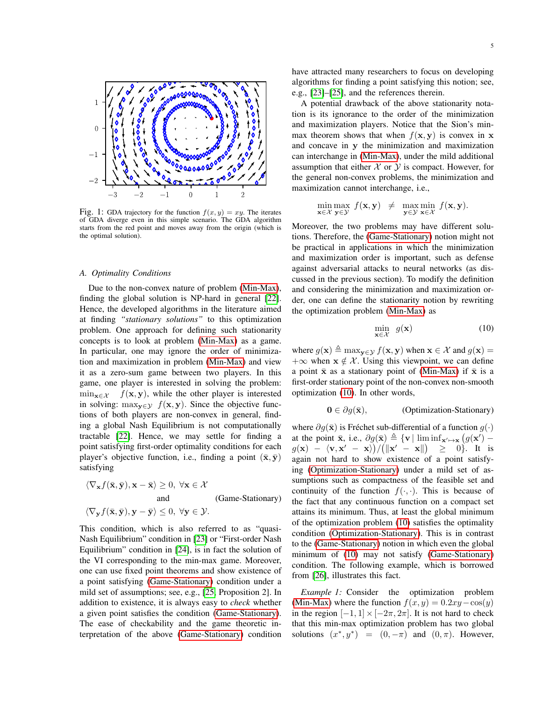<span id="page-4-0"></span>

Fig. 1: GDA trajectory for the function  $f(x, y) = xy$ . The iterates of GDA diverge even in this simple scenario. The GDA algorithm starts from the red point and moves away from the origin (which is the optimal solution).

#### *A. Optimality Conditions*

Due to the non-convex nature of problem [\(Min-Max\)](#page-0-1), finding the global solution is NP-hard in general [\[22\]](#page-10-18). Hence, the developed algorithms in the literature aimed at finding *"stationary solutions"* to this optimization problem. One approach for defining such stationarity concepts is to look at problem [\(Min-Max\)](#page-0-1) as a game. In particular, one may ignore the order of minimization and maximization in problem [\(Min-Max\)](#page-0-1) and view it as a zero-sum game between two players. In this game, one player is interested in solving the problem:  $\min_{\mathbf{x} \in \mathcal{X}} f(\mathbf{x}, \mathbf{y})$ , while the other player is interested in solving: max $y \in y$   $f(x, y)$ . Since the objective functions of both players are non-convex in general, finding a global Nash Equilibrium is not computationally tractable [\[22\]](#page-10-18). Hence, we may settle for finding a point satisfying first-order optimality conditions for each player's objective function, i.e., finding a point  $(\bar{x}, \bar{y})$ satisfying

<span id="page-4-2"></span>
$$
\langle \nabla_{\mathbf{x}} f(\bar{\mathbf{x}}, \bar{\mathbf{y}}), \mathbf{x} - \bar{\mathbf{x}} \rangle \ge 0, \ \forall \mathbf{x} \in \mathcal{X}
$$
  
and  

$$
\langle \nabla_{\mathbf{y}} f(\bar{\mathbf{x}}, \bar{\mathbf{y}}), \mathbf{y} - \bar{\mathbf{y}} \rangle \le 0, \ \forall \mathbf{y} \in \mathcal{Y}.
$$
  
(Game-Stationary)

This condition, which is also referred to as "quasi-Nash Equilibrium" condition in [\[23\]](#page-10-19) or "First-order Nash Equilibrium" condition in [\[24\]](#page-10-20), is in fact the solution of the VI corresponding to the min-max game. Moreover, one can use fixed point theorems and show existence of a point satisfying [\(Game-Stationary\)](#page-4-1) condition under a mild set of assumptions; see, e.g., [\[25,](#page-10-21) Proposition 2]. In addition to existence, it is always easy to *check* whether a given point satisfies the condition [\(Game-Stationary\)](#page-4-1). The ease of checkability and the game theoretic interpretation of the above [\(Game-Stationary\)](#page-4-1) condition have attracted many researchers to focus on developing algorithms for finding a point satisfying this notion; see, e.g., [\[23\]](#page-10-19)–[\[25\]](#page-10-21), and the references therein.

A potential drawback of the above stationarity notation is its ignorance to the order of the minimization and maximization players. Notice that the Sion's minmax theorem shows that when  $f(x, y)$  is convex in x and concave in y the minimization and maximization can interchange in [\(Min-Max\)](#page-0-1), under the mild additional assumption that either  $X$  or  $Y$  is compact. However, for the general non-convex problems, the minimization and maximization cannot interchange, i.e.,

$$
\min_{\mathbf{x} \in \mathcal{X}} \max_{\mathbf{y} \in \mathcal{Y}} f(\mathbf{x}, \mathbf{y}) \ \neq \ \max_{\mathbf{y} \in \mathcal{Y}} \min_{\mathbf{x} \in \mathcal{X}} f(\mathbf{x}, \mathbf{y}).
$$

Moreover, the two problems may have different solutions. Therefore, the [\(Game-Stationary\)](#page-4-1) notion might not be practical in applications in which the minimization and maximization order is important, such as defense against adversarial attacks to neural networks (as discussed in the previous section). To modify the definition and considering the minimization and maximization order, one can define the stationarity notion by rewriting the optimization problem [\(Min-Max\)](#page-0-1) as

$$
\min_{\mathbf{x} \in \mathcal{X}} g(\mathbf{x}) \tag{10}
$$

where  $g(\mathbf{x}) \triangleq \max_{\mathbf{y} \in \mathcal{Y}} f(\mathbf{x}, \mathbf{y})$  when  $\mathbf{x} \in \mathcal{X}$  and  $g(\mathbf{x}) =$  $+\infty$  when  $x \notin \mathcal{X}$ . Using this viewpoint, we can define a point  $\bar{x}$  as a stationary point of [\(Min-Max\)](#page-0-1) if  $\bar{x}$  is a first-order stationary point of the non-convex non-smooth optimization [\(10\)](#page-4-2). In other words,

<span id="page-4-5"></span><span id="page-4-3"></span>
$$
\mathbf{0} \in \partial g(\bar{\mathbf{x}}), \qquad \qquad \text{(Optimization-Stationary)}
$$

<span id="page-4-1"></span>where  $\partial q(\bar{\mathbf{x}})$  is Fréchet sub-differential of a function  $q(\cdot)$ at the point  $\bar{\mathbf{x}}$ , i.e.,  $\partial g(\bar{\mathbf{x}}) \triangleq {\mathbf{v} | \liminf_{\mathbf{x}' \mapsto \mathbf{x}} (g(\mathbf{x}')$  $g(\mathbf{x}) - \langle \mathbf{v}, \mathbf{x}' - \mathbf{x} \rangle)/(\|\mathbf{x}' - \mathbf{x}\|) \ge 0$ . It is again not hard to show existence of a point satisfying [\(Optimization-Stationary\)](#page-4-3) under a mild set of assumptions such as compactness of the feasible set and continuity of the function  $f(\cdot, \cdot)$ . This is because of the fact that any continuous function on a compact set attains its minimum. Thus, at least the global minimum of the optimization problem [\(10\)](#page-4-2) satisfies the optimality condition [\(Optimization-Stationary\)](#page-4-3). This is in contrast to the [\(Game-Stationary\)](#page-4-1) notion in which even the global minimum of [\(10\)](#page-4-2) may not satisfy [\(Game-Stationary\)](#page-4-1) condition. The following example, which is borrowed from [\[26\]](#page-10-22), illustrates this fact.

<span id="page-4-4"></span>*Example 1:* Consider the optimization problem [\(Min-Max\)](#page-0-1) where the function  $f(x, y) = 0.2xy - \cos(y)$ in the region  $[-1, 1] \times [-2\pi, 2\pi]$ . It is not hard to check that this min-max optimization problem has two global solutions  $(x^*, y^*) = (0, -\pi)$  and  $(0, \pi)$ . However,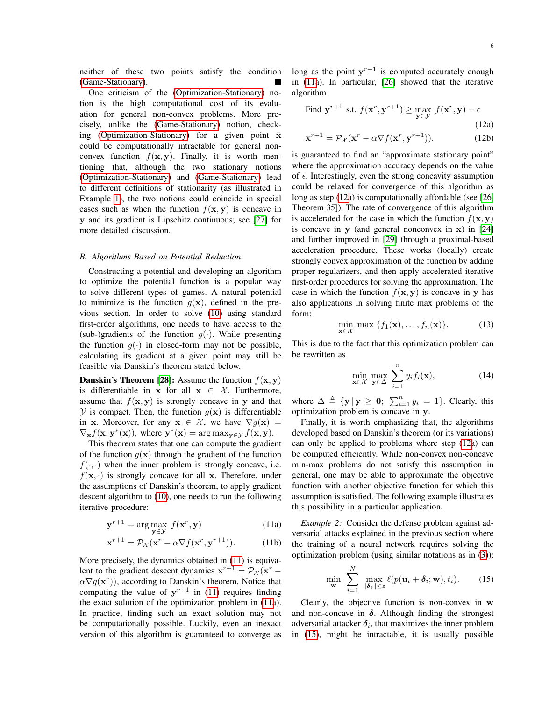neither of these two points satisfy the condition [\(Game-Stationary\)](#page-4-1).

One criticism of the [\(Optimization-Stationary\)](#page-4-3) notion is the high computational cost of its evaluation for general non-convex problems. More precisely, unlike the [\(Game-Stationary\)](#page-4-1) notion, check-ing [\(Optimization-Stationary\)](#page-4-3) for a given point  $\bar{x}$ could be computationally intractable for general nonconvex function  $f(x, y)$ . Finally, it is worth mentioning that, although the two stationary notions [\(Optimization-Stationary\)](#page-4-3) and [\(Game-Stationary\)](#page-4-1) lead to different definitions of stationarity (as illustrated in Example [1\)](#page-4-4), the two notions could coincide in special cases such as when the function  $f(\mathbf{x}, \mathbf{y})$  is concave in y and its gradient is Lipschitz continuous; see [\[27\]](#page-10-23) for more detailed discussion.

## <span id="page-5-4"></span>*B. Algorithms Based on Potential Reduction*

Constructing a potential and developing an algorithm to optimize the potential function is a popular way to solve different types of games. A natural potential to minimize is the function  $g(x)$ , defined in the previous section. In order to solve [\(10\)](#page-4-2) using standard first-order algorithms, one needs to have access to the (sub-)gradients of the function  $g(\cdot)$ . While presenting the function  $g(\cdot)$  in closed-form may not be possible, calculating its gradient at a given point may still be feasible via Danskin's theorem stated below.

**Danskin's Theorem [\[28\]](#page-10-24):** Assume the function  $f(\mathbf{x}, \mathbf{y})$ is differentiable in x for all  $x \in \mathcal{X}$ . Furthermore, assume that  $f(x, y)$  is strongly concave in y and that  $Y$  is compact. Then, the function  $g(x)$  is differentiable in x. Moreover, for any  $x \in \mathcal{X}$ , we have  $\nabla g(x) =$  $\nabla_{\mathbf{x}} f(\mathbf{x}, \mathbf{y}^*(\mathbf{x}))$ , where  $\mathbf{y}^*(\mathbf{x}) = \arg \max_{\mathbf{y} \in \mathcal{Y}} f(\mathbf{x}, \mathbf{y})$ .

This theorem states that one can compute the gradient of the function  $g(x)$  through the gradient of the function  $f(\cdot, \cdot)$  when the inner problem is strongly concave, i.e.  $f(\mathbf{x}, \cdot)$  is strongly concave for all x. Therefore, under the assumptions of Danskin's theorem, to apply gradient descent algorithm to [\(10\)](#page-4-2), one needs to run the following iterative procedure:

$$
\mathbf{y}^{r+1} = \arg\max_{\mathbf{y} \in \mathcal{Y}} f(\mathbf{x}^r, \mathbf{y})
$$
 (11a)

$$
\mathbf{x}^{r+1} = \mathcal{P}_{\mathcal{X}}(\mathbf{x}^r - \alpha \nabla f(\mathbf{x}^r, \mathbf{y}^{r+1})).
$$
 (11b)

More precisely, the dynamics obtained in [\(11\)](#page-4-5) is equivalent to the gradient descent dynamics  $\mathbf{x}^{r+1} = \mathcal{P}_{\mathcal{X}}(\mathbf{x}^r - \mathbf{P}_{\mathcal{X}})$  $\alpha \nabla g(\mathbf{x}^r)$ , according to Danskin's theorem. Notice that computing the value of  $y^{r+1}$  in [\(11\)](#page-4-5) requires finding the exact solution of the optimization problem in [\(11a](#page-4-5)). In practice, finding such an exact solution may not be computationally possible. Luckily, even an inexact version of this algorithm is guaranteed to converge as

long as the point  $y^{r+1}$  is computed accurately enough in [\(11a](#page-4-5)). In particular, [\[26\]](#page-10-22) showed that the iterative algorithm

<span id="page-5-0"></span>Find 
$$
\mathbf{y}^{r+1}
$$
 s.t.  $f(\mathbf{x}^r, \mathbf{y}^{r+1}) \ge \max_{\mathbf{y} \in \mathcal{Y}} f(\mathbf{x}^r, \mathbf{y}) - \epsilon$  (12a)  

$$
f(\mathbf{x}^r, \mathbf{y}) = \epsilon \tag{12b}
$$

$$
\mathbf{x}^{r+1} = \mathcal{P}_{\mathcal{X}}(\mathbf{x}^r - \alpha \nabla f(\mathbf{x}^r, \mathbf{y}^{r+1})).
$$
 (12b)

is guaranteed to find an "approximate stationary point" where the approximation accuracy depends on the value of  $\epsilon$ . Interestingly, even the strong concavity assumption could be relaxed for convergence of this algorithm as long as step [\(12a](#page-5-0)) is computationally affordable (see [\[26,](#page-10-22) Theorem 35]). The rate of convergence of this algorithm is accelerated for the case in which the function  $f(\mathbf{x}, \mathbf{y})$ is concave in  $y$  (and general nonconvex in  $x$ ) in [\[24\]](#page-10-20) and further improved in [\[29\]](#page-10-25) through a proximal-based acceleration procedure. These works (locally) create strongly convex approximation of the function by adding proper regularizers, and then apply accelerated iterative first-order procedures for solving the approximation. The case in which the function  $f(x, y)$  is concave in y has also applications in solving finite max problems of the form:

<span id="page-5-2"></span>
$$
\min_{\mathbf{x} \in \mathcal{X}} \max \{ f_1(\mathbf{x}), \dots, f_n(\mathbf{x}) \}. \tag{13}
$$

This is due to the fact that this optimization problem can be rewritten as

<span id="page-5-3"></span>
$$
\min_{\mathbf{x} \in \mathcal{X}} \max_{\mathbf{y} \in \Delta} \sum_{i=1}^{n} y_i f_i(\mathbf{x}), \tag{14}
$$

where  $\Delta \triangleq {\mathbf{y} | \mathbf{y} \geq 0; \sum_{i=1}^{n} y_i = 1}.$  Clearly, this optimization problem is concave in y.

Finally, it is worth emphasizing that, the algorithms developed based on Danskin's theorem (or its variations) can only be applied to problems where step [\(12a](#page-5-0)) can be computed efficiently. While non-convex non-concave min-max problems do not satisfy this assumption in general, one may be able to approximate the objective function with another objective function for which this assumption is satisfied. The following example illustrates this possibility in a particular application.

*Example 2:* Consider the defense problem against adversarial attacks explained in the previous section where the training of a neural network requires solving the optimization problem (using similar notations as in [\(3\)](#page-2-0)):

<span id="page-5-1"></span>
$$
\min_{\mathbf{w}} \sum_{i=1}^{N} \max_{\|\boldsymbol{\delta}_i\| \leq \varepsilon} \ell(p(\mathbf{u}_i + \boldsymbol{\delta}_i; \mathbf{w}), t_i).
$$
 (15)

Clearly, the objective function is non-convex in w and non-concave in  $\delta$ . Although finding the strongest adversarial attacker  $\delta_i$ , that maximizes the inner problem in [\(15\)](#page-5-1), might be intractable, it is usually possible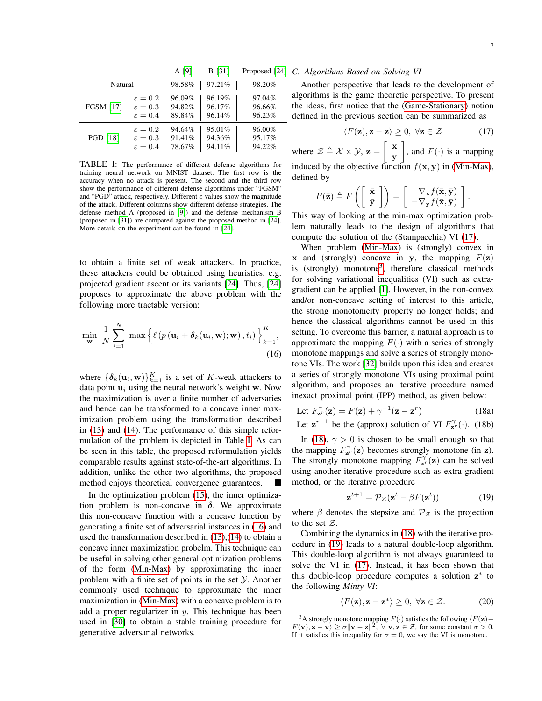<span id="page-6-0"></span>

|                  |                     | A [9]  | <b>B</b> [31] | Proposed [24] |
|------------------|---------------------|--------|---------------|---------------|
| Natural          |                     | 98.58% | 97.21%        | 98.20%        |
| <b>FGSM [17]</b> | $\varepsilon = 0.2$ | 96.09% | 96.19%        | 97.04%        |
|                  | $\varepsilon = 0.3$ | 94.82% | 96.17%        | 96.66%        |
|                  | $\varepsilon = 0.4$ | 89.84% | 96.14%        | 96.23%        |
| <b>PGD</b> [18]  | $\varepsilon = 0.2$ | 94.64% | 95.01%        | 96.00%        |
|                  | $\varepsilon = 0.3$ | 91.41% | 94.36%        | 95.17%        |
|                  | $\varepsilon = 0.4$ | 78.67% | 94.11%        | 94.22%        |

TABLE I: The performance of different defense algorithms for training neural network on MNIST dataset. The first row is the accuracy when no attack is present. The second and the third row show the performance of different defense algorithms under "FGSM" and "PGD" attack, respectively. Different  $\varepsilon$  values show the magnitude of the attack. Different columns show different defense strategies. The defense method A (proposed in [\[9\]](#page-10-5)) and the defense mechanism B (proposed in [\[31\]](#page-11-0)) are compared against the proposed method in [\[24\]](#page-10-20). More details on the experiment can be found in [\[24\]](#page-10-20).

to obtain a finite set of weak attackers. In practice, these attackers could be obtained using heuristics, e.g. projected gradient ascent or its variants [\[24\]](#page-10-20). Thus, [\[24\]](#page-10-20) proposes to approximate the above problem with the following more tractable version:

$$
\min_{\mathbf{w}} \frac{1}{N} \sum_{i=1}^{N} \max \left\{ \ell \left( p(\mathbf{u}_i + \boldsymbol{\delta}_k(\mathbf{u}_i, \mathbf{w}); \mathbf{w}), t_i \right) \right\}_{k=1}^{K},
$$
\n(16)

where  $\{\boldsymbol{\delta}_k(\mathbf{u}_i, \mathbf{w})\}_{k=1}^K$  is a set of K-weak attackers to data point  $u_i$  using the neural network's weight w. Now the maximization is over a finite number of adversaries and hence can be transformed to a concave inner maximization problem using the transformation described in [\(13\)](#page-5-2) and [\(14\)](#page-5-3). The performance of this simple reformulation of the problem is depicted in Table [I.](#page-6-0) As can be seen in this table, the proposed reformulation yields comparable results against state-of-the-art algorithms. In addition, unlike the other two algorithms, the proposed method enjoys theoretical convergence guarantees.

In the optimization problem [\(15\)](#page-5-1), the inner optimization problem is non-concave in  $\delta$ . We approximate this non-concave function with a concave function by generating a finite set of adversarial instances in [\(16\)](#page-6-1) and used the transformation described in [\(13\)](#page-5-2),[\(14\)](#page-5-3) to obtain a concave inner maximization probelm. This technique can be useful in solving other general optimization problems of the form [\(Min-Max\)](#page-0-1) by approximating the inner problem with a finite set of points in the set  $Y$ . Another commonly used technique to approximate the inner maximization in [\(Min-Max\)](#page-0-1) with a concave problem is to add a proper regularizer in  $y$ . This technique has been used in [\[30\]](#page-11-1) to obtain a stable training procedure for generative adversarial networks.

### *C. Algorithms Based on Solving VI*

Another perspective that leads to the development of algorithms is the game theoretic perspective. To present the ideas, first notice that the [\(Game-Stationary\)](#page-4-1) notion defined in the previous section can be summarized as

<span id="page-6-2"></span>
$$
\langle F(\bar{\mathbf{z}}), \mathbf{z} - \bar{\mathbf{z}} \rangle \ge 0, \ \forall \mathbf{z} \in \mathcal{Z}
$$
 (17)

where  $\mathcal{Z} \triangleq \mathcal{X} \times \mathcal{Y}$ ,  $\mathbf{z} = \begin{bmatrix} \mathbf{x} \\ \mathbf{y} \end{bmatrix}$ y , and  $F(\cdot)$  is a mapping induced by the objective function  $f(x, y)$  in [\(Min-Max\)](#page-0-1), defined by

$$
F(\bar{\mathbf{z}}) \triangleq F\left(\left[\begin{array}{c} \bar{\mathbf{x}} \\ \bar{\mathbf{y}} \end{array}\right]\right) = \left[\begin{array}{c} \nabla_{\mathbf{x}} f(\bar{\mathbf{x}}, \bar{\mathbf{y}}) \\ -\nabla_{\mathbf{y}} f(\bar{\mathbf{x}}, \bar{\mathbf{y}}) \end{array}\right].
$$

This way of looking at the min-max optimization problem naturally leads to the design of algorithms that compute the solution of the (Stampacchia) VI [\(17\)](#page-6-2).

When problem [\(Min-Max\)](#page-0-1) is (strongly) convex in x and (strongly) concave in y, the mapping  $F(z)$ is (strongly) monotone<sup>[3](#page-6-3)</sup>, therefore classical methods for solving variational inequalities (VI) such as extragradient can be applied [\[1\]](#page-9-0). However, in the non-convex and/or non-concave setting of interest to this article, the strong monotonicity property no longer holds; and hence the classical algorithms cannot be used in this setting. To overcome this barrier, a natural approach is to approximate the mapping  $F(\cdot)$  with a series of strongly monotone mappings and solve a series of strongly monotone VIs. The work [\[32\]](#page-11-2) builds upon this idea and creates a series of strongly monotone VIs using proximal point algorithm, and proposes an iterative procedure named inexact proximal point (IPP) method, as given below:

<span id="page-6-1"></span>Let 
$$
F_{\mathbf{z}^r}^{\gamma}(\mathbf{z}) = F(\mathbf{z}) + \gamma^{-1}(\mathbf{z} - \mathbf{z}^r)
$$
 (18a)

Let 
$$
\mathbf{z}^{r+1}
$$
 be the (approx) solution of VI  $F_{\mathbf{z}^r}^{\gamma}(\cdot)$ . (18b)

In [\(18\)](#page-6-4),  $\gamma > 0$  is chosen to be small enough so that the mapping  $F_{\mathbf{z}^r}^{\gamma}(\mathbf{z})$  becomes strongly monotone (in  $\mathbf{z}$ ). The strongly monotone mapping  $F_{\mathbf{z}^r}^{\gamma}(\mathbf{z})$  can be solved using another iterative procedure such as extra gradient method, or the iterative procedure

<span id="page-6-5"></span><span id="page-6-4"></span>
$$
\mathbf{z}^{t+1} = \mathcal{P}_{\mathcal{Z}}(\mathbf{z}^t - \beta F(\mathbf{z}^t))
$$
 (19)

where  $\beta$  denotes the stepsize and  $\mathcal{P}_z$  is the projection to the set  $Z$ .

Combining the dynamics in [\(18\)](#page-6-4) with the iterative procedure in [\(19\)](#page-6-5) leads to a natural double-loop algorithm. This double-loop algorithm is not always guaranteed to solve the VI in [\(17\)](#page-6-2). Instead, it has been shown that this double-loop procedure computes a solution z<sup>\*</sup> to the following *Minty VI*:

<span id="page-6-6"></span>
$$
\langle F(\mathbf{z}), \mathbf{z} - \mathbf{z}^* \rangle \ge 0, \ \forall \mathbf{z} \in \mathcal{Z}.
$$
 (20)

<span id="page-6-3"></span><sup>&</sup>lt;sup>3</sup>A strongly monotone mapping  $F(·)$  satisfies the following  $\langle F(\mathbf{z}) F(\mathbf{v}), \mathbf{z} - \mathbf{v} \rangle \ge \sigma \|\mathbf{v} - \mathbf{z}\|^2$ ,  $\forall \mathbf{v}, \mathbf{z} \in \mathcal{Z}$ , for some constant  $\sigma > 0$ . If it satisfies this inequality for  $\sigma = 0$ , we say the VI is monotone.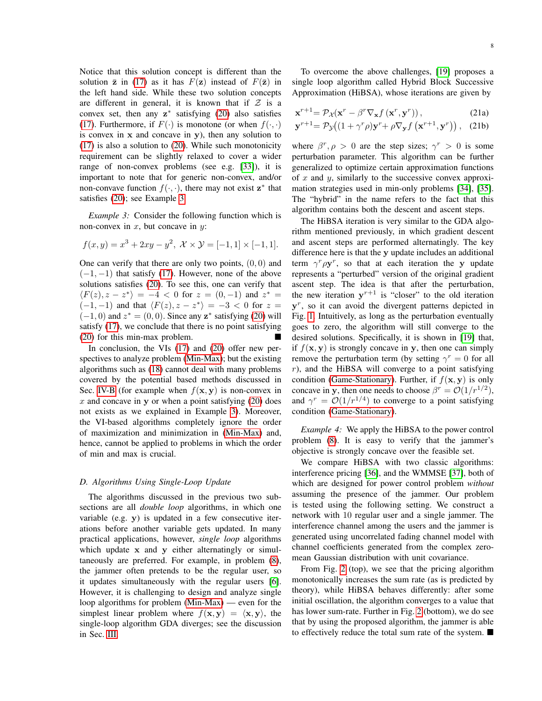Notice that this solution concept is different than the solution  $\bar{z}$  in [\(17\)](#page-6-2) as it has  $F(z)$  instead of  $F(\bar{z})$  in the left hand side. While these two solution concepts are different in general, it is known that if  $Z$  is a convex set, then any  $z^*$  satisfying [\(20\)](#page-6-6) also satisfies [\(17\)](#page-6-2). Furthermore, if  $F(\cdot)$  is monotone (or when  $f(\cdot, \cdot)$ ) is convex in  $x$  and concave in  $y$ ), then any solution to [\(17\)](#page-6-2) is also a solution to [\(20\)](#page-6-6). While such monotonicity requirement can be slightly relaxed to cover a wider range of non-convex problems (see e.g. [\[33\]](#page-11-3)), it is important to note that for generic non-convex, and/or non-convave function  $f(\cdot, \cdot)$ , there may not exist  $z^*$  that satisfies [\(20\)](#page-6-6); see Example [3.](#page-7-0)

<span id="page-7-0"></span>*Example 3:* Consider the following function which is non-convex in  $x$ , but concave in  $y$ :

$$
f(x,y) = x^3 + 2xy - y^2
$$
,  $\mathcal{X} \times \mathcal{Y} = [-1,1] \times [-1,1]$ .

One can verify that there are only two points,  $(0, 0)$  and  $(-1, -1)$  that satisfy [\(17\)](#page-6-2). However, none of the above solutions satisfies [\(20\)](#page-6-6). To see this, one can verify that  $\langle F(z), z - z^* \rangle = -4 < 0$  for  $z = (0, -1)$  and  $z^* =$  $(-1, -1)$  and that  $\langle F(z), z - z^* \rangle = -3 < 0$  for  $z =$  $(-1, 0)$  and  $z^* = (0, 0)$ . Since any  $z^*$  satisfying [\(20\)](#page-6-6) will satisfy [\(17\)](#page-6-2), we conclude that there is no point satisfying [\(20\)](#page-6-6) for this min-max problem.

In conclusion, the VIs [\(17\)](#page-6-2) and [\(20\)](#page-6-6) offer new perspectives to analyze problem [\(Min-Max\)](#page-0-1); but the existing algorithms such as [\(18\)](#page-6-4) cannot deal with many problems covered by the potential based methods discussed in Sec. [IV-B](#page-5-4) (for example when  $f(x, y)$  is non-convex in  $x$  and concave in y or when a point satisfying [\(20\)](#page-6-6) does not exists as we explained in Example [3\)](#page-7-0). Moreover, the VI-based algorithms completely ignore the order of maximization and minimization in [\(Min-Max\)](#page-0-1) and, hence, cannot be applied to problems in which the order of min and max is crucial.

## *D. Algorithms Using Single-Loop Update*

The algorithms discussed in the previous two subsections are all *double loop* algorithms, in which one variable (e.g. y) is updated in a few consecutive iterations before another variable gets updated. In many practical applications, however, *single loop* algorithms which update x and y either alternatingly or simultaneously are preferred. For example, in problem [\(8\)](#page-3-3), the jammer often pretends to be the regular user, so it updates simultaneously with the regular users [\[6\]](#page-10-2). However, it is challenging to design and analyze single loop algorithms for problem [\(Min-Max\)](#page-0-1) — even for the simplest linear problem where  $f(\mathbf{x}, \mathbf{y}) = \langle \mathbf{x}, \mathbf{y} \rangle$ , the single-loop algorithm GDA diverges; see the discussion in Sec. [III.](#page-3-4)

To overcome the above challenges, [\[19\]](#page-10-16) proposes a single loop algorithm called Hybrid Block Successive Approximation (HiBSA), whose iterations are given by

$$
\mathbf{x}^{r+1} = \mathcal{P}_{\mathcal{X}}(\mathbf{x}^r - \beta^r \nabla_{\mathbf{x}} f\left(\mathbf{x}^r, \mathbf{y}^r\right)),\tag{21a}
$$

$$
\mathbf{y}^{r+1} = \mathcal{P}_{\mathcal{Y}}\big((1 + \gamma^r \rho)\mathbf{y}^r + \rho \nabla_{\mathbf{y}} f\left(\mathbf{x}^{r+1}, \mathbf{y}^r\right)\big), \quad (21b)
$$

where  $\beta^r, \rho > 0$  are the step sizes;  $\gamma^r > 0$  is some perturbation parameter. This algorithm can be further generalized to optimize certain approximation functions of x and y, similarly to the successive convex approximation strategies used in min-only problems [\[34\]](#page-11-4), [\[35\]](#page-11-5). The "hybrid" in the name refers to the fact that this algorithm contains both the descent and ascent steps.

The HiBSA iteration is very similar to the GDA algorithm mentioned previously, in which gradient descent and ascent steps are performed alternatingly. The key difference here is that the y update includes an additional term  $\gamma^r \rho y^r$ , so that at each iteration the y update represents a "perturbed" version of the original gradient ascent step. The idea is that after the perturbation, the new iteration  $y^{r+1}$  is "closer" to the old iteration y<sup>r</sup>, so it can avoid the divergent patterns depicted in Fig. [1.](#page-4-0) Intuitively, as long as the perturbation eventually goes to zero, the algorithm will still converge to the desired solutions. Specifically, it is shown in [\[19\]](#page-10-16) that, if  $f(\mathbf{x}, \mathbf{y})$  is strongly concave in y, then one can simply remove the perturbation term (by setting  $\gamma^r = 0$  for all  $r$ ), and the HiBSA will converge to a point satisfying condition [\(Game-Stationary\)](#page-4-1). Further, if  $f(\mathbf{x}, \mathbf{y})$  is only concave in y, then one needs to choose  $\beta^r = \mathcal{O}(1/r^{1/2})$ , and  $\gamma^r = \mathcal{O}(1/r^{1/4})$  to converge to a point satisfying condition [\(Game-Stationary\)](#page-4-1).

*Example 4:* We apply the HiBSA to the power control problem [\(8\)](#page-3-3). It is easy to verify that the jammer's objective is strongly concave over the feasible set.

We compare HiBSA with two classic algorithms: interference pricing [\[36\]](#page-11-6), and the WMMSE [\[37\]](#page-11-7), both of which are designed for power control problem *without* assuming the presence of the jammer. Our problem is tested using the following setting. We construct a network with 10 regular user and a single jammer. The interference channel among the users and the jammer is generated using uncorrelated fading channel model with channel coefficients generated from the complex zeromean Gaussian distribution with unit covariance.

From Fig. [2](#page-8-0) (top), we see that the pricing algorithm monotonically increases the sum rate (as is predicted by theory), while HiBSA behaves differently: after some initial oscillation, the algorithm converges to a value that has lower sum-rate. Further in Fig. [2](#page-8-0) (bottom), we do see that by using the proposed algorithm, the jammer is able to effectively reduce the total sum rate of the system.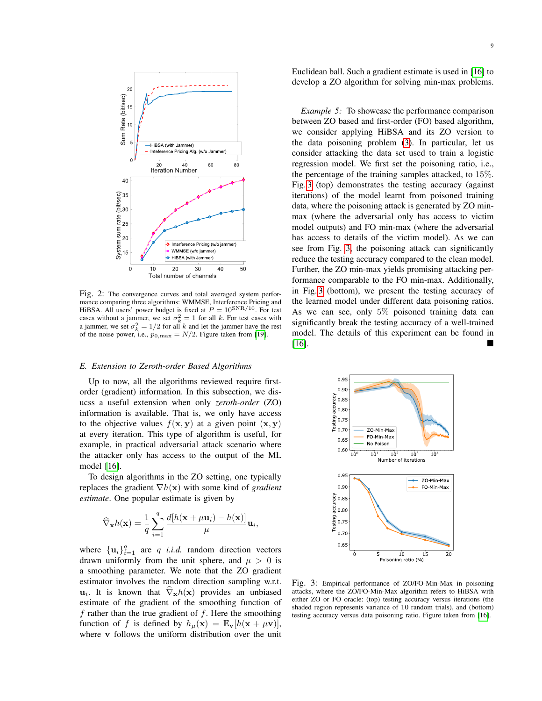<span id="page-8-0"></span>

Fig. 2: The convergence curves and total averaged system performance comparing three algorithms: WMMSE, Interference Pricing and HiBSA. All users' power budget is fixed at  $P = 10^{SNR/10}$ . For test cases without a jammer, we set  $\sigma_k^2 = 1$  for all k. For test cases with a jammer, we set  $\sigma_k^2 = 1/2$  for all k and let the jammer have the rest of the noise power, i.e.,  $p_{0,\text{max}} = N/2$ . Figure taken from [\[19\]](#page-10-16).

### *E. Extension to Zeroth-order Based Algorithms*

Up to now, all the algorithms reviewed require firstorder (gradient) information. In this subsection, we disucss a useful extension when only *zeroth-order* (ZO) information is available. That is, we only have access to the objective values  $f(\mathbf{x}, \mathbf{y})$  at a given point  $(\mathbf{x}, \mathbf{y})$ at every iteration. This type of algorithm is useful, for example, in practical adversarial attack scenario where the attacker only has access to the output of the ML model [\[16\]](#page-10-12).

To design algorithms in the ZO setting, one typically replaces the gradient ∇h(x) with some kind of *gradient estimate*. One popular estimate is given by

$$
\widehat{\nabla}_{\mathbf{x}} h(\mathbf{x}) = \frac{1}{q} \sum_{i=1}^{q} \frac{d[h(\mathbf{x} + \mu \mathbf{u}_i) - h(\mathbf{x})]}{\mu} \mathbf{u}_i,
$$

where  $\{u_i\}_{i=1}^q$  are q *i.i.d.* random direction vectors drawn uniformly from the unit sphere, and  $\mu > 0$  is a smoothing parameter. We note that the ZO gradient estimator involves the random direction sampling w.r.t.  $\mathbf{u}_i$ . It is known that  $\nabla_{\mathbf{x}}h(\mathbf{x})$  provides an unbiased estimate of the gradient of the smoothing function of f rather than the true gradient of  $f$ . Here the smoothing function of f is defined by  $h_{\mu}(\mathbf{x}) = \mathbb{E}_{\mathbf{v}}[h(\mathbf{x} + \mu \mathbf{v})],$ where v follows the uniform distribution over the unit Euclidean ball. Such a gradient estimate is used in [\[16\]](#page-10-12) to develop a ZO algorithm for solving min-max problems.

*Example 5:* To showcase the performance comparison between ZO based and first-order (FO) based algorithm, we consider applying HiBSA and its ZO version to the data poisoning problem [\(3\)](#page-2-0). In particular, let us consider attacking the data set used to train a logistic regression model. We first set the poisoning ratio, i.e., the percentage of the training samples attacked, to 15%. Fig. [3](#page-8-1) (top) demonstrates the testing accuracy (against iterations) of the model learnt from poisoned training data, where the poisoning attack is generated by ZO minmax (where the adversarial only has access to victim model outputs) and FO min-max (where the adversarial has access to details of the victim model). As we can see from Fig. [3,](#page-8-1) the poisoning attack can significantly reduce the testing accuracy compared to the clean model. Further, the ZO min-max yields promising attacking performance comparable to the FO min-max. Additionally, in Fig. [3](#page-8-1) (bottom), we present the testing accuracy of the learned model under different data poisoning ratios. As we can see, only 5% poisoned training data can significantly break the testing accuracy of a well-trained model. The details of this experiment can be found in [\[16\]](#page-10-12).

<span id="page-8-1"></span>

Fig. 3: Empirical performance of ZO/FO-Min-Max in poisoning attacks, where the ZO/FO-Min-Max algorithm refers to HiBSA with either ZO or FO oracle: (top) testing accuracy versus iterations (the shaded region represents variance of 10 random trials), and (bottom) testing accuracy versus data poisoning ratio. Figure taken from [\[16\]](#page-10-12).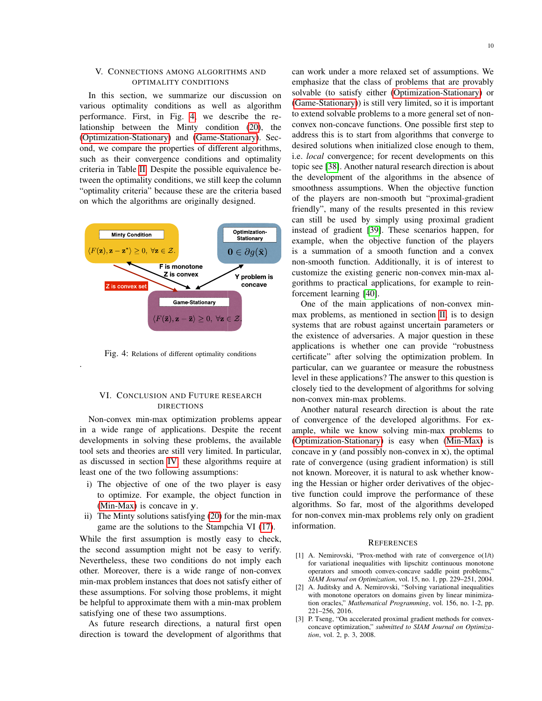## V. CONNECTIONS AMONG ALGORITHMS AND OPTIMALITY CONDITIONS

In this section, we summarize our discussion on various optimality conditions as well as algorithm performance. First, in Fig. [4,](#page-9-1) we describe the relationship between the Minty condition [\(20\)](#page-6-6), the [\(Optimization-Stationary\)](#page-4-3) and [\(Game-Stationary\)](#page-4-1). Second, we compare the properties of different algorithms, such as their convergence conditions and optimality criteria in Table [II.](#page-10-26) Despite the possible equivalence between the optimality conditions, we still keep the column "optimality criteria" because these are the criteria based on which the algorithms are originally designed.

<span id="page-9-1"></span>

Fig. 4: Relations of different optimality conditions

.

## VI. CONCLUSION AND FUTURE RESEARCH DIRECTIONS

Non-convex min-max optimization problems appear in a wide range of applications. Despite the recent developments in solving these problems, the available tool sets and theories are still very limited. In particular, as discussed in section [IV,](#page-3-5) these algorithms require at least one of the two following assumptions:

- i) The objective of one of the two player is easy to optimize. For example, the object function in [\(Min-Max\)](#page-0-1) is concave in y.
- ii) The Minty solutions satisfying [\(20\)](#page-6-6) for the min-max game are the solutions to the Stampchia VI [\(17\)](#page-6-2).

While the first assumption is mostly easy to check, the second assumption might not be easy to verify. Nevertheless, these two conditions do not imply each other. Moreover, there is a wide range of non-convex min-max problem instances that does not satisfy either of these assumptions. For solving those problems, it might be helpful to approximate them with a min-max problem satisfying one of these two assumptions.

As future research directions, a natural first open direction is toward the development of algorithms that

can work under a more relaxed set of assumptions. We emphasize that the class of problems that are provably solvable (to satisfy either [\(Optimization-Stationary\)](#page-4-3) or [\(Game-Stationary\)](#page-4-1)) is still very limited, so it is important to extend solvable problems to a more general set of nonconvex non-concave functions. One possible first step to address this is to start from algorithms that converge to desired solutions when initialized close enough to them, i.e. *local* convergence; for recent developments on this topic see [\[38\]](#page-11-8). Another natural research direction is about the development of the algorithms in the absence of smoothness assumptions. When the objective function of the players are non-smooth but "proximal-gradient friendly", many of the results presented in this review can still be used by simply using proximal gradient instead of gradient [\[39\]](#page-11-9). These scenarios happen, for example, when the objective function of the players is a summation of a smooth function and a convex non-smooth function. Additionally, it is of interest to customize the existing generic non-convex min-max algorithms to practical applications, for example to reinforcement learning [\[40\]](#page-11-10).

One of the main applications of non-convex minmax problems, as mentioned in section [II,](#page-1-1) is to design systems that are robust against uncertain parameters or the existence of adversaries. A major question in these applications is whether one can provide "robustness certificate" after solving the optimization problem. In particular, can we guarantee or measure the robustness level in these applications? The answer to this question is closely tied to the development of algorithms for solving non-convex min-max problems.

Another natural research direction is about the rate of convergence of the developed algorithms. For example, while we know solving min-max problems to [\(Optimization-Stationary\)](#page-4-3) is easy when [\(Min-Max\)](#page-0-1) is concave in y (and possibly non-convex in x), the optimal rate of convergence (using gradient information) is still not known. Moreover, it is natural to ask whether knowing the Hessian or higher order derivatives of the objective function could improve the performance of these algorithms. So far, most of the algorithms developed for non-convex min-max problems rely only on gradient information.

#### **REFERENCES**

- <span id="page-9-0"></span>[1] A. Nemirovski, "Prox-method with rate of convergence  $o(1/t)$ for variational inequalities with lipschitz continuous monotone operators and smooth convex-concave saddle point problems," *SIAM Journal on Optimization*, vol. 15, no. 1, pp. 229–251, 2004.
- [2] A. Juditsky and A. Nemirovski, "Solving variational inequalities with monotone operators on domains given by linear minimization oracles," *Mathematical Programming*, vol. 156, no. 1-2, pp. 221–256, 2016.
- [3] P. Tseng, "On accelerated proximal gradient methods for convexconcave optimization," *submitted to SIAM Journal on Optimization*, vol. 2, p. 3, 2008.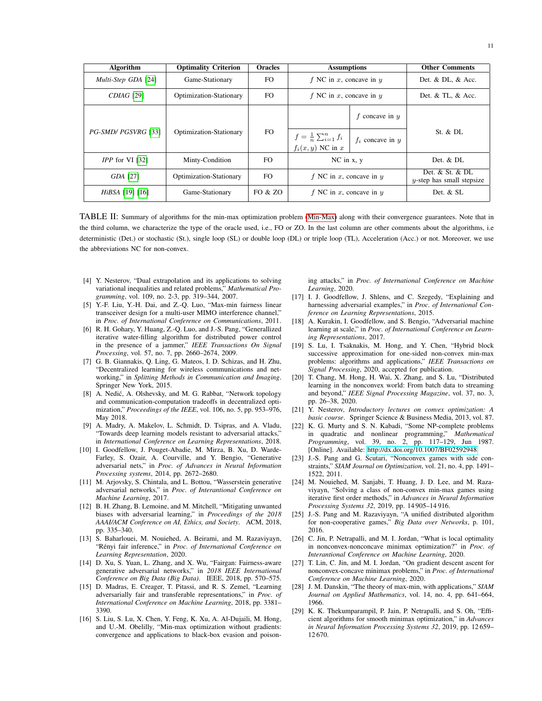<span id="page-10-26"></span>

| <b>Algorithm</b>         | <b>Optimality Criterion</b> | <b>Oracles</b> | <b>Assumptions</b>                                        |                      | <b>Other Comments</b>                               |
|--------------------------|-----------------------------|----------------|-----------------------------------------------------------|----------------------|-----------------------------------------------------|
| Multi-Step GDA [24]      | Game-Stationary             | FO.            | f NC in x, concave in $y$                                 |                      | Det. & DL, $\&$ Acc.                                |
| <i>CDIAG</i> [29]        | Optimization-Stationary     | FO.            | f NC in x, concave in $y$                                 |                      | Det. & TL, & Acc.                                   |
|                          |                             |                |                                                           | f concave in $y$     |                                                     |
| PG-SMD/ PGSVRG [33]      | Optimization-Stationary     | FO.            | $f = \frac{1}{n} \sum_{i=1}^n f_i$<br>$f_i(x, y)$ NC in x | $f_i$ concave in $y$ | St. & D1.                                           |
| <i>IPP</i> for $VI$ [32] | Minty-Condition             | FO.            | $NC$ in $x, y$                                            |                      | Det. $&$ DL.                                        |
| GDA [27]                 | Optimization-Stationary     | FO.            | f NC in x, concave in $y$                                 |                      | Det. $&$ St. $&$ DL<br>$y$ -step has small stepsize |
| <i>HiBSA</i> [19] [16]   | Game-Stationary             | FO & ZO        | f NC in x, concave in $y$                                 |                      | Det. & SL                                           |

TABLE II: Summary of algorithms for the min-max optimization problem [\(Min-Max\)](#page-0-1) along with their convergence guarantees. Note that in the third column, we characterize the type of the oracle used, i.e., FO or ZO. In the last column are other comments about the algorithms, i.e deterministic (Det.) or stochastic (St.), single loop (SL) or double loop (DL) or triple loop (TL), Acceleration (Acc.) or not. Moreover, we use the abbreviations NC for non-convex.

- <span id="page-10-0"></span>[4] Y. Nesterov, "Dual extrapolation and its applications to solving variational inequalities and related problems," *Mathematical Programming*, vol. 109, no. 2-3, pp. 319–344, 2007.
- <span id="page-10-1"></span>[5] Y.-F. Liu, Y.-H. Dai, and Z.-Q. Luo, "Max-min fairness linear transceiver design for a multi-user MIMO interference channel,' in *Proc. of International Conference on Communications*, 2011.
- <span id="page-10-2"></span>[6] R. H. Gohary, Y. Huang, Z.-Q. Luo, and J.-S. Pang, "Generallized iterative water-filling algorithm for distributed power control in the presence of a jammer," *IEEE Transactions On Signal Processing*, vol. 57, no. 7, pp. 2660–2674, 2009.
- <span id="page-10-3"></span>[7] G. B. Giannakis, Q. Ling, G. Mateos, I. D. Schizas, and H. Zhu, "Decentralized learning for wireless communications and networking," in *Splitting Methods in Communication and Imaging*. Springer New York, 2015.
- <span id="page-10-4"></span>[8] A. Nedić, A. Olshevsky, and M. G. Rabbat, "Network topology and communication-computation tradeoffs in decentralized optimization," *Proceedings of the IEEE*, vol. 106, no. 5, pp. 953–976, May 2018.
- <span id="page-10-5"></span>[9] A. Madry, A. Makelov, L. Schmidt, D. Tsipras, and A. Vladu, "Towards deep learning models resistant to adversarial attacks," in *International Conference on Learning Representations*, 2018.
- <span id="page-10-6"></span>[10] I. Goodfellow, J. Pouget-Abadie, M. Mirza, B. Xu, D. Warde-Farley, S. Ozair, A. Courville, and Y. Bengio, "Generative adversarial nets," in *Proc. of Advances in Neural Information Processing systems*, 2014, pp. 2672–2680.
- <span id="page-10-7"></span>[11] M. Arjovsky, S. Chintala, and L. Bottou, "Wasserstein generative adversarial networks," in *Proc. of Interantional Conference on Machine Learning*, 2017.
- <span id="page-10-8"></span>[12] B. H. Zhang, B. Lemoine, and M. Mitchell, "Mitigating unwanted biases with adversarial learning," in *Proceedings of the 2018 AAAI/ACM Conference on AI, Ethics, and Society*. ACM, 2018, pp. 335–340.
- <span id="page-10-9"></span>[13] S. Baharlouei, M. Nouiehed, A. Beirami, and M. Razaviyayn, "Rényi fair inference," in Proc. of International Conference on *Learning Representation*, 2020.
- <span id="page-10-11"></span>[14] D. Xu, S. Yuan, L. Zhang, and X. Wu, "Fairgan: Fairness-aware generative adversarial networks," in *2018 IEEE International Conference on Big Data (Big Data)*. IEEE, 2018, pp. 570–575.
- <span id="page-10-10"></span>[15] D. Madras, E. Creager, T. Pitassi, and R. S. Zemel, "Learning adversarially fair and transferable representations," in *Proc. of International Conference on Machine Learning*, 2018, pp. 3381– 3390.
- <span id="page-10-12"></span>[16] S. Liu, S. Lu, X. Chen, Y. Feng, K. Xu, A. Al-Dujaili, M. Hong, and U.-M. Obelilly, "Min-max optimization without gradients: convergence and applications to black-box evasion and poison-

ing attacks," in *Proc. of International Conference on Machine Learning*, 2020.

- <span id="page-10-13"></span>[17] I. J. Goodfellow, J. Shlens, and C. Szegedy, "Explaining and harnessing adversarial examples," in *Proc. of International Conference on Learning Representations*, 2015.
- <span id="page-10-14"></span>[18] A. Kurakin, I. Goodfellow, and S. Bengio, "Adversarial machine learning at scale," in *Proc. of International Conference on Learning Representations*, 2017.
- <span id="page-10-16"></span>[19] S. Lu, I. Tsaknakis, M. Hong, and Y. Chen, "Hybrid block successive approximation for one-sided non-convex min-max problems: algorithms and applications," *IEEE Transactions on Signal Processing*, 2020, accepted for publication.
- <span id="page-10-15"></span>[20] T. Chang, M. Hong, H. Wai, X. Zhang, and S. Lu, "Distributed learning in the nonconvex world: From batch data to streaming and beyond," *IEEE Signal Processing Magazine*, vol. 37, no. 3, pp. 26–38, 2020.
- <span id="page-10-17"></span>[21] Y. Nesterov, *Introductory lectures on convex optimization: A basic course*. Springer Science & Business Media, 2013, vol. 87.
- <span id="page-10-18"></span>[22] K. G. Murty and S. N. Kabadi, "Some NP-complete problems in quadratic and nonlinear programming," *Mathematical Programming*, vol. 39, no. 2, pp. 117–129, Jun 1987. [Online]. Available:<http://dx.doi.org/10.1007/BF02592948>
- <span id="page-10-19"></span>[23] J.-S. Pang and G. Scutari, "Nonconvex games with side constraints," *SIAM Journal on Optimization*, vol. 21, no. 4, pp. 1491– 1522, 2011.
- <span id="page-10-20"></span>[24] M. Nouiehed, M. Sanjabi, T. Huang, J. D. Lee, and M. Razaviyayn, "Solving a class of non-convex min-max games using iterative first order methods," in *Advances in Neural Information Processing Systems 32*, 2019, pp. 14 905–14 916.
- <span id="page-10-21"></span>[25] J.-S. Pang and M. Razaviyayn, "A unified distributed algorithm for non-cooperative games," *Big Data over Networks*, p. 101, 2016.
- <span id="page-10-22"></span>[26] C. Jin, P. Netrapalli, and M. I. Jordan, "What is local optimality in nonconvex-nonconcave minimax optimization?" in *Proc. of Interantional Conference on Machine Learning*, 2020.
- <span id="page-10-23"></span>[27] T. Lin, C. Jin, and M. I. Jordan, "On gradient descent ascent for nonconvex-concave minimax problems," in *Proc. of International Conference on Machine Learning*, 2020.
- <span id="page-10-24"></span>[28] J. M. Danskin, "The theory of max-min, with applications," *SIAM Journal on Applied Mathematics*, vol. 14, no. 4, pp. 641–664, 1966.
- <span id="page-10-25"></span>[29] K. K. Thekumparampil, P. Jain, P. Netrapalli, and S. Oh, "Efficient algorithms for smooth minimax optimization," in *Advances in Neural Information Processing Systems 32*, 2019, pp. 12 659– 12 670.